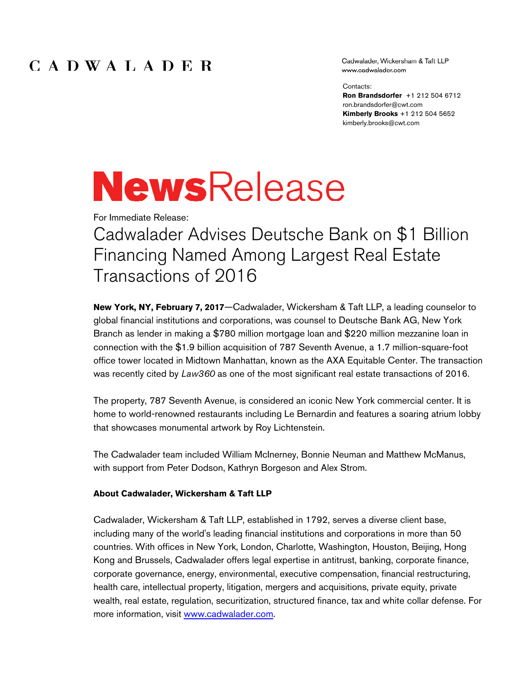## CADWALADER

Cadwalader, Wickersham & Taft LLP www.cadwalader.com

Contacts:

**Ron Brandsdorfer** +1 212 504 6712 ron.brandsdorfer@cwt.com **Kimberly Brooks** +1 212 504 5652 kimberly.brooks@cwt.com

## **NewsRelease**

For Immediate Release:

Cadwalader Advises Deutsche Bank on \$1 Billion Financing Named Among Largest Real Estate Transactions of 2016

**New York, NY, February 7, 2017**—Cadwalader, Wickersham & Taft LLP, a leading counselor to global financial institutions and corporations, was counsel to Deutsche Bank AG, New York Branch as lender in making a \$780 million mortgage loan and \$220 million mezzanine loan in connection with the \$1.9 billion acquisition of 787 Seventh Avenue, a 1.7 million-square-foot office tower located in Midtown Manhattan, known as the AXA Equitable Center. The transaction was recently cited by *Law360* as one of the most significant real estate transactions of 2016.

The property, 787 Seventh Avenue, is considered an iconic New York commercial center. It is home to world-renowned restaurants including Le Bernardin and features a soaring atrium lobby that showcases monumental artwork by Roy Lichtenstein.

The Cadwalader team included William McInerney, Bonnie Neuman and Matthew McManus, with support from Peter Dodson, Kathryn Borgeson and Alex Strom.

## **About Cadwalader, Wickersham & Taft LLP**

Cadwalader, Wickersham & Taft LLP, established in 1792, serves a diverse client base, including many of the world's leading financial institutions and corporations in more than 50 countries. With offices in New York, London, Charlotte, Washington, Houston, Beijing, Hong Kong and Brussels, Cadwalader offers legal expertise in antitrust, banking, corporate finance, corporate governance, energy, environmental, executive compensation, financial restructuring, health care, intellectual property, litigation, mergers and acquisitions, private equity, private wealth, real estate, regulation, securitization, structured finance, tax and white collar defense. For more information, visit www.cadwalader.com.